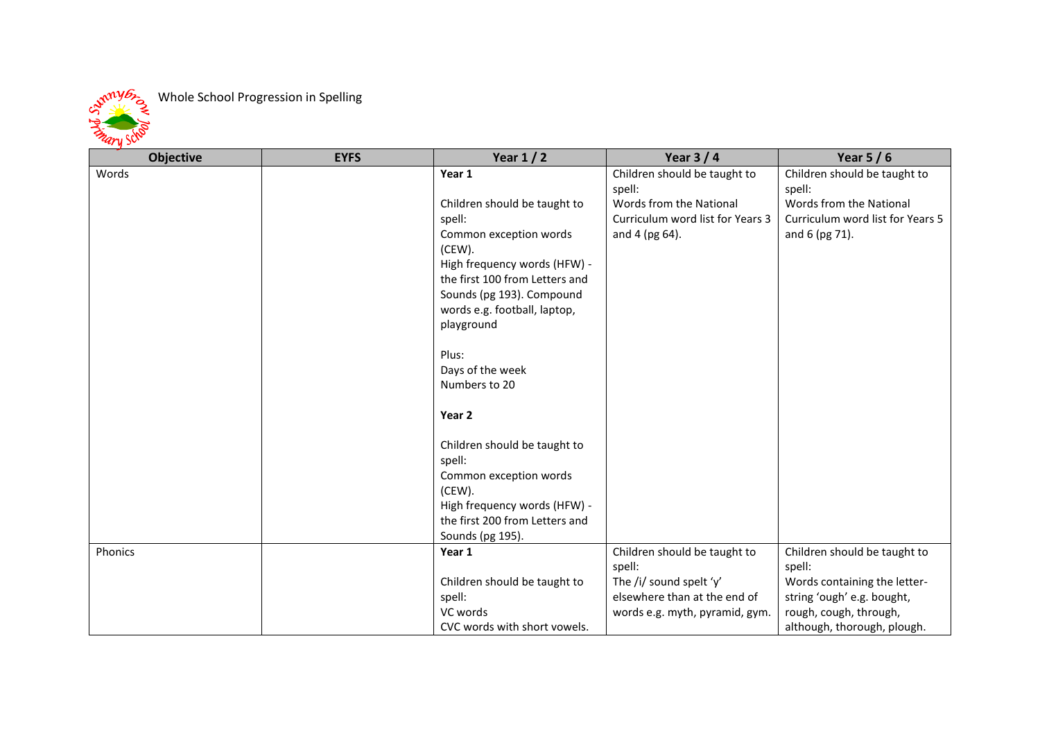

## Whole School Progression in Spelling

| <b>Objective</b> | <b>EYFS</b> | Year $1/2$                     | Year $3/4$                       | Year $5/6$                       |
|------------------|-------------|--------------------------------|----------------------------------|----------------------------------|
| Words            |             | Year 1                         | Children should be taught to     | Children should be taught to     |
|                  |             |                                | spell:                           | spell:                           |
|                  |             | Children should be taught to   | Words from the National          | Words from the National          |
|                  |             | spell:                         | Curriculum word list for Years 3 | Curriculum word list for Years 5 |
|                  |             | Common exception words         | and 4 (pg 64).                   | and 6 (pg 71).                   |
|                  |             | (CEW).                         |                                  |                                  |
|                  |             | High frequency words (HFW) -   |                                  |                                  |
|                  |             | the first 100 from Letters and |                                  |                                  |
|                  |             | Sounds (pg 193). Compound      |                                  |                                  |
|                  |             | words e.g. football, laptop,   |                                  |                                  |
|                  |             | playground                     |                                  |                                  |
|                  |             |                                |                                  |                                  |
|                  |             | Plus:                          |                                  |                                  |
|                  |             | Days of the week               |                                  |                                  |
|                  |             | Numbers to 20                  |                                  |                                  |
|                  |             |                                |                                  |                                  |
|                  |             | Year 2                         |                                  |                                  |
|                  |             |                                |                                  |                                  |
|                  |             | Children should be taught to   |                                  |                                  |
|                  |             | spell:                         |                                  |                                  |
|                  |             | Common exception words         |                                  |                                  |
|                  |             | (CEW).                         |                                  |                                  |
|                  |             | High frequency words (HFW) -   |                                  |                                  |
|                  |             | the first 200 from Letters and |                                  |                                  |
|                  |             | Sounds (pg 195).               |                                  |                                  |
| Phonics          |             | Year 1                         | Children should be taught to     | Children should be taught to     |
|                  |             |                                | spell:                           | spell:                           |
|                  |             | Children should be taught to   | The /i/ sound spelt 'y'          | Words containing the letter-     |
|                  |             | spell:                         | elsewhere than at the end of     | string 'ough' e.g. bought,       |
|                  |             | VC words                       | words e.g. myth, pyramid, gym.   | rough, cough, through,           |
|                  |             | CVC words with short vowels.   |                                  | although, thorough, plough.      |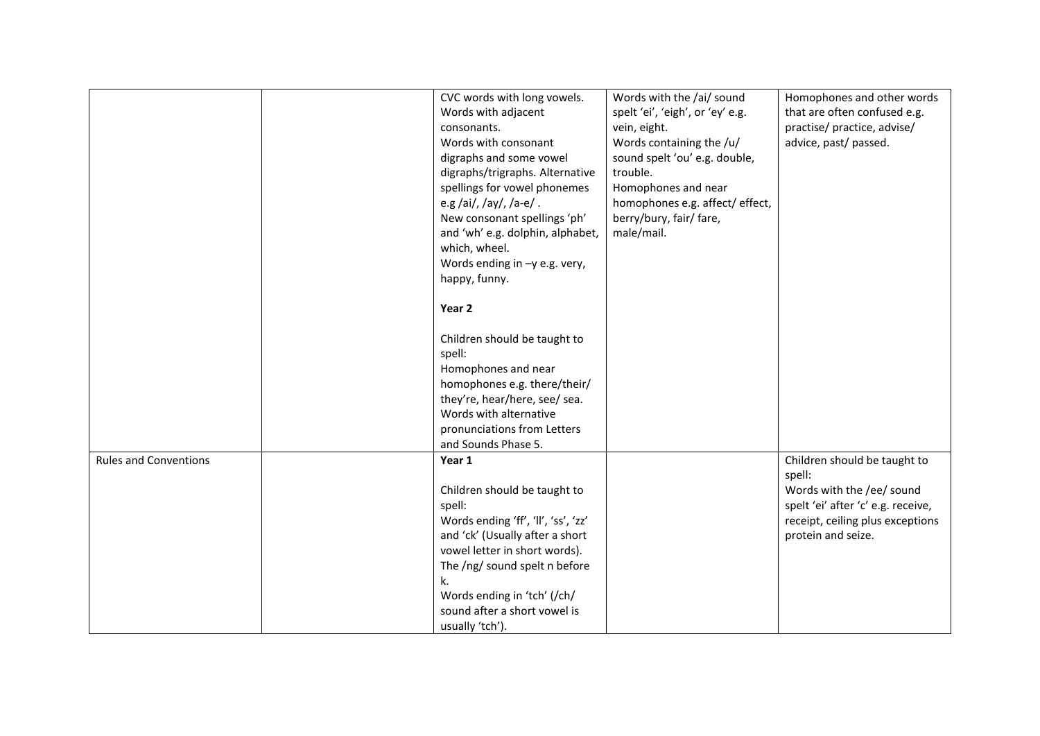|                              | CVC words with long vowels.         | Words with the /ai/ sound        | Homophones and other words         |
|------------------------------|-------------------------------------|----------------------------------|------------------------------------|
|                              | Words with adjacent                 | spelt 'ei', 'eigh', or 'ey' e.g. | that are often confused e.g.       |
|                              | consonants.                         | vein, eight.                     | practise/ practice, advise/        |
|                              | Words with consonant                | Words containing the /u/         | advice, past/ passed.              |
|                              | digraphs and some vowel             | sound spelt 'ou' e.g. double,    |                                    |
|                              | digraphs/trigraphs. Alternative     | trouble.                         |                                    |
|                              | spellings for vowel phonemes        | Homophones and near              |                                    |
|                              | e.g/ai/,/ay/,/a-e/.                 | homophones e.g. affect/ effect,  |                                    |
|                              | New consonant spellings 'ph'        | berry/bury, fair/ fare,          |                                    |
|                              | and 'wh' e.g. dolphin, alphabet,    | male/mail.                       |                                    |
|                              | which, wheel.                       |                                  |                                    |
|                              | Words ending in -y e.g. very,       |                                  |                                    |
|                              | happy, funny.                       |                                  |                                    |
|                              | Year <sub>2</sub>                   |                                  |                                    |
|                              | Children should be taught to        |                                  |                                    |
|                              |                                     |                                  |                                    |
|                              | spell:<br>Homophones and near       |                                  |                                    |
|                              |                                     |                                  |                                    |
|                              | homophones e.g. there/their/        |                                  |                                    |
|                              | they're, hear/here, see/ sea.       |                                  |                                    |
|                              | Words with alternative              |                                  |                                    |
|                              | pronunciations from Letters         |                                  |                                    |
|                              | and Sounds Phase 5.                 |                                  |                                    |
| <b>Rules and Conventions</b> | Year 1                              |                                  | Children should be taught to       |
|                              |                                     |                                  | spell:                             |
|                              | Children should be taught to        |                                  | Words with the /ee/ sound          |
|                              | spell:                              |                                  | spelt 'ei' after 'c' e.g. receive, |
|                              | Words ending 'ff', 'll', 'ss', 'zz' |                                  | receipt, ceiling plus exceptions   |
|                              | and 'ck' (Usually after a short     |                                  | protein and seize.                 |
|                              | vowel letter in short words).       |                                  |                                    |
|                              | The /ng/ sound spelt n before       |                                  |                                    |
|                              | k.                                  |                                  |                                    |
|                              | Words ending in 'tch' (/ch/         |                                  |                                    |
|                              | sound after a short vowel is        |                                  |                                    |
|                              | usually 'tch').                     |                                  |                                    |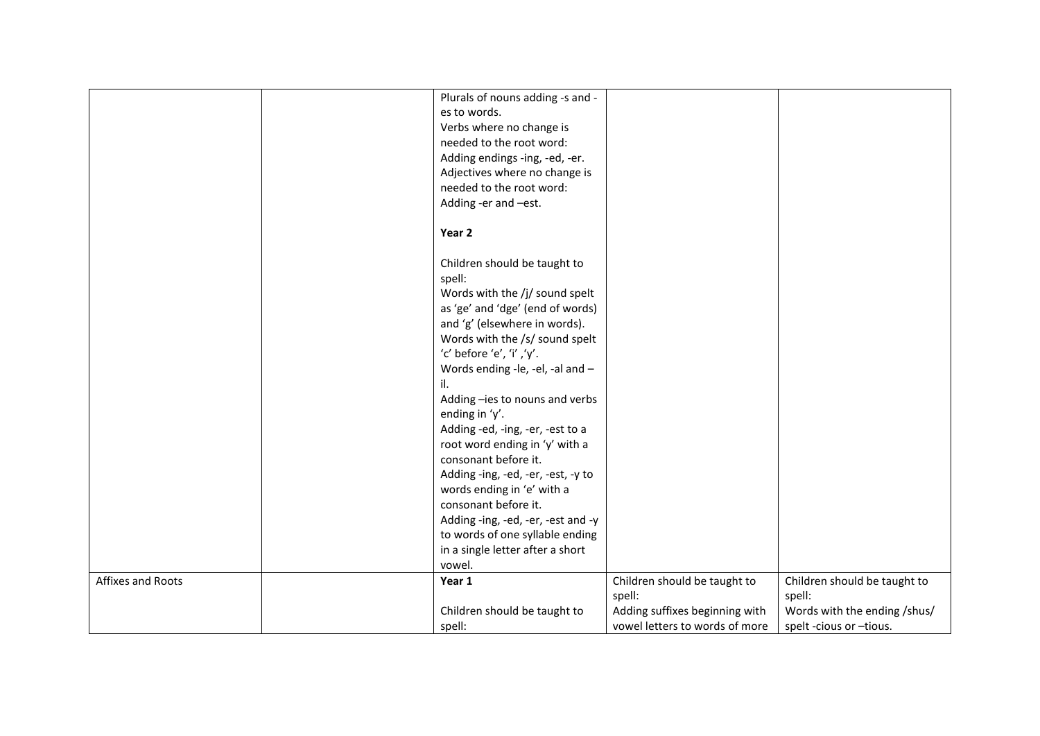|                   | Plurals of nouns adding -s and -   |                                |                              |
|-------------------|------------------------------------|--------------------------------|------------------------------|
|                   | es to words.                       |                                |                              |
|                   | Verbs where no change is           |                                |                              |
|                   | needed to the root word:           |                                |                              |
|                   | Adding endings -ing, -ed, -er.     |                                |                              |
|                   | Adjectives where no change is      |                                |                              |
|                   | needed to the root word:           |                                |                              |
|                   | Adding -er and -est.               |                                |                              |
|                   |                                    |                                |                              |
|                   | Year <sub>2</sub>                  |                                |                              |
|                   | Children should be taught to       |                                |                              |
|                   | spell:                             |                                |                              |
|                   | Words with the /j/ sound spelt     |                                |                              |
|                   | as 'ge' and 'dge' (end of words)   |                                |                              |
|                   | and 'g' (elsewhere in words).      |                                |                              |
|                   | Words with the /s/ sound spelt     |                                |                              |
|                   | 'c' before 'e', 'i','y'.           |                                |                              |
|                   | Words ending -le, -el, -al and -   |                                |                              |
|                   | il.                                |                                |                              |
|                   | Adding -ies to nouns and verbs     |                                |                              |
|                   | ending in 'y'.                     |                                |                              |
|                   | Adding -ed, -ing, -er, -est to a   |                                |                              |
|                   | root word ending in 'y' with a     |                                |                              |
|                   | consonant before it.               |                                |                              |
|                   | Adding -ing, -ed, -er, -est, -y to |                                |                              |
|                   | words ending in 'e' with a         |                                |                              |
|                   | consonant before it.               |                                |                              |
|                   | Adding -ing, -ed, -er, -est and -y |                                |                              |
|                   | to words of one syllable ending    |                                |                              |
|                   | in a single letter after a short   |                                |                              |
|                   | vowel.                             |                                |                              |
| Affixes and Roots | Year 1                             | Children should be taught to   | Children should be taught to |
|                   |                                    | spell:                         | spell:                       |
|                   | Children should be taught to       | Adding suffixes beginning with | Words with the ending /shus/ |
|                   | spell:                             | vowel letters to words of more | spelt -cious or -tious.      |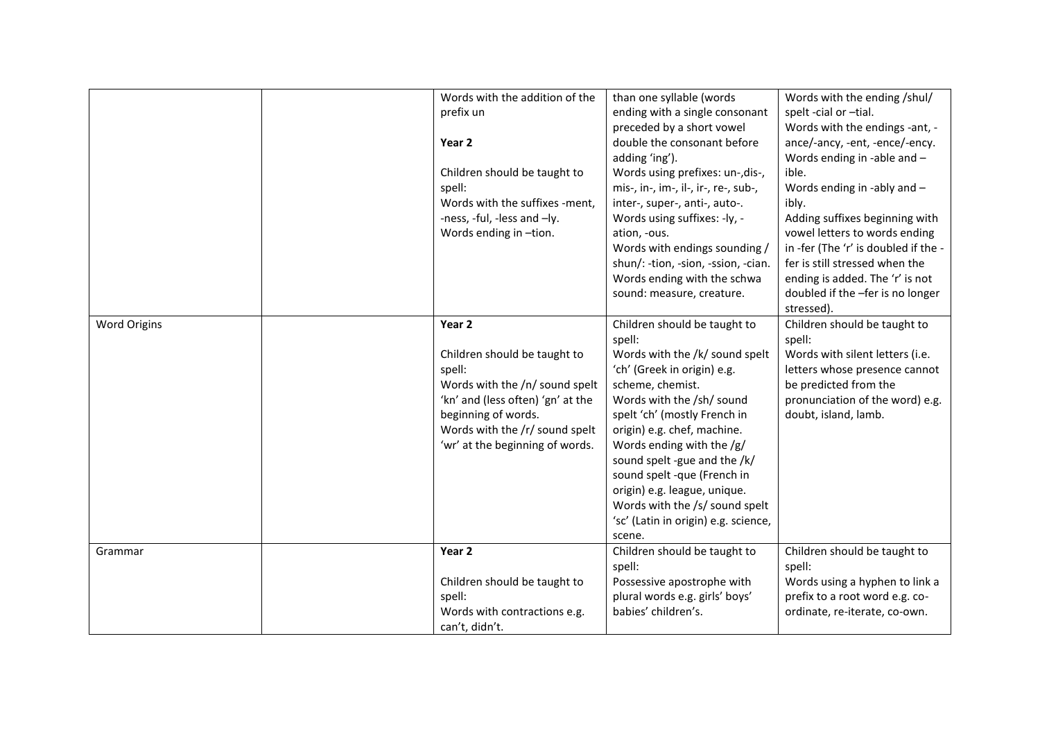|                     | Words with the addition of the<br>prefix un<br>Year 2<br>Children should be taught to<br>spell:<br>Words with the suffixes -ment.<br>-ness, -ful, -less and -ly.<br>Words ending in -tion.                          | than one syllable (words<br>ending with a single consonant<br>preceded by a short vowel<br>double the consonant before<br>adding 'ing').<br>Words using prefixes: un-, dis-,<br>mis-, in-, im-, il-, ir-, re-, sub-,<br>inter-, super-, anti-, auto-.<br>Words using suffixes: -ly, -<br>ation, -ous.<br>Words with endings sounding /<br>shun/: -tion, -sion, -ssion, -cian.<br>Words ending with the schwa<br>sound: measure, creature. | Words with the ending /shul/<br>spelt -cial or -tial.<br>Words with the endings -ant, -<br>ance/-ancy, -ent, -ence/-ency.<br>Words ending in -able and -<br>ible.<br>Words ending in -ably and -<br>ibly.<br>Adding suffixes beginning with<br>vowel letters to words ending<br>in -fer (The 'r' is doubled if the -<br>fer is still stressed when the<br>ending is added. The 'r' is not<br>doubled if the -fer is no longer<br>stressed). |
|---------------------|---------------------------------------------------------------------------------------------------------------------------------------------------------------------------------------------------------------------|-------------------------------------------------------------------------------------------------------------------------------------------------------------------------------------------------------------------------------------------------------------------------------------------------------------------------------------------------------------------------------------------------------------------------------------------|---------------------------------------------------------------------------------------------------------------------------------------------------------------------------------------------------------------------------------------------------------------------------------------------------------------------------------------------------------------------------------------------------------------------------------------------|
| <b>Word Origins</b> | Year 2<br>Children should be taught to<br>spell:<br>Words with the /n/ sound spelt<br>'kn' and (less often) 'gn' at the<br>beginning of words.<br>Words with the /r/ sound spelt<br>'wr' at the beginning of words. | Children should be taught to<br>spell:<br>Words with the /k/ sound spelt<br>'ch' (Greek in origin) e.g.<br>scheme, chemist.<br>Words with the /sh/ sound<br>spelt 'ch' (mostly French in<br>origin) e.g. chef, machine.<br>Words ending with the /g/<br>sound spelt -gue and the /k/<br>sound spelt -que (French in<br>origin) e.g. league, unique.<br>Words with the /s/ sound spelt<br>'sc' (Latin in origin) e.g. science,<br>scene.   | Children should be taught to<br>spell:<br>Words with silent letters (i.e.<br>letters whose presence cannot<br>be predicted from the<br>pronunciation of the word) e.g.<br>doubt, island, lamb.                                                                                                                                                                                                                                              |
| Grammar             | Year 2<br>Children should be taught to<br>spell:<br>Words with contractions e.g.<br>can't, didn't.                                                                                                                  | Children should be taught to<br>spell:<br>Possessive apostrophe with<br>plural words e.g. girls' boys'<br>babies' children's.                                                                                                                                                                                                                                                                                                             | Children should be taught to<br>spell:<br>Words using a hyphen to link a<br>prefix to a root word e.g. co-<br>ordinate, re-iterate, co-own.                                                                                                                                                                                                                                                                                                 |